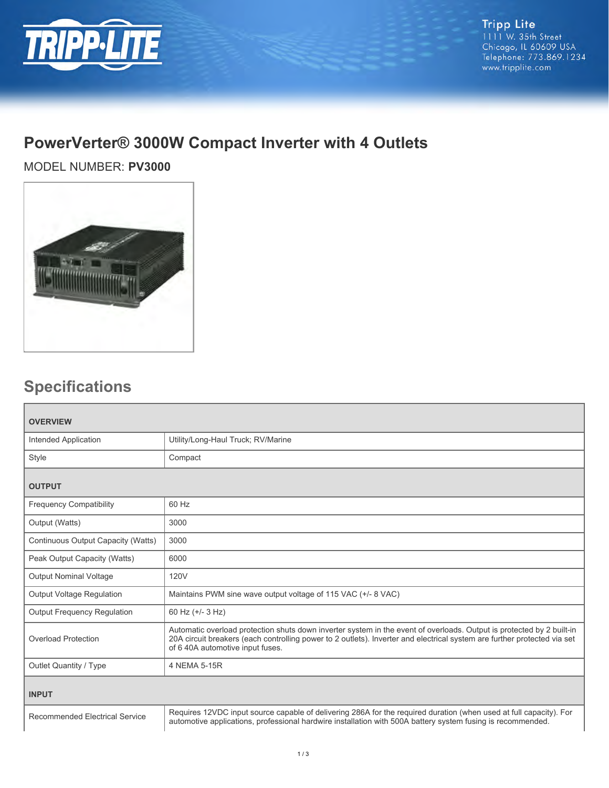

## **PowerVerter® 3000W Compact Inverter with 4 Outlets**

MODEL NUMBER: **PV3000**



## **Specifications**

| <b>OVERVIEW</b>                       |                                                                                                                                                                                                                                                                                       |  |
|---------------------------------------|---------------------------------------------------------------------------------------------------------------------------------------------------------------------------------------------------------------------------------------------------------------------------------------|--|
| Intended Application                  | Utility/Long-Haul Truck; RV/Marine                                                                                                                                                                                                                                                    |  |
| Style                                 | Compact                                                                                                                                                                                                                                                                               |  |
| <b>OUTPUT</b>                         |                                                                                                                                                                                                                                                                                       |  |
| <b>Frequency Compatibility</b>        | 60 Hz                                                                                                                                                                                                                                                                                 |  |
| Output (Watts)                        | 3000                                                                                                                                                                                                                                                                                  |  |
| Continuous Output Capacity (Watts)    | 3000                                                                                                                                                                                                                                                                                  |  |
| Peak Output Capacity (Watts)          | 6000                                                                                                                                                                                                                                                                                  |  |
| <b>Output Nominal Voltage</b>         | <b>120V</b>                                                                                                                                                                                                                                                                           |  |
| Output Voltage Regulation             | Maintains PWM sine wave output voltage of 115 VAC (+/- 8 VAC)                                                                                                                                                                                                                         |  |
| <b>Output Frequency Requlation</b>    | 60 Hz (+/- 3 Hz)                                                                                                                                                                                                                                                                      |  |
| <b>Overload Protection</b>            | Automatic overload protection shuts down inverter system in the event of overloads. Output is protected by 2 built-in<br>20A circuit breakers (each controlling power to 2 outlets). Inverter and electrical system are further protected via set<br>of 6 40A automotive input fuses. |  |
| Outlet Quantity / Type                | 4 NEMA 5-15R                                                                                                                                                                                                                                                                          |  |
| <b>INPUT</b>                          |                                                                                                                                                                                                                                                                                       |  |
| <b>Recommended Electrical Service</b> | Requires 12VDC input source capable of delivering 286A for the required duration (when used at full capacity). For<br>automotive applications, professional hardwire installation with 500A battery system fusing is recommended.                                                     |  |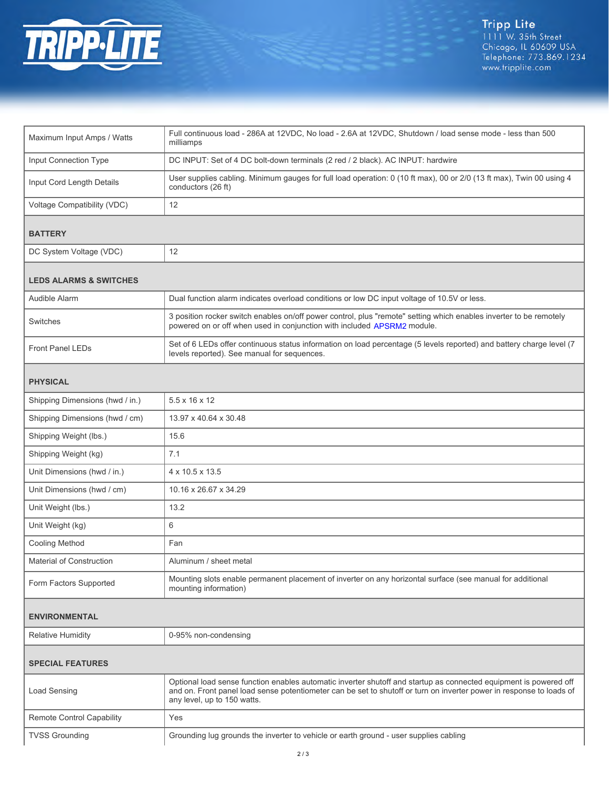

| Maximum Input Amps / Watts        | Full continuous load - 286A at 12VDC, No load - 2.6A at 12VDC, Shutdown / load sense mode - less than 500<br>milliamps                                                                                                                                                   |  |
|-----------------------------------|--------------------------------------------------------------------------------------------------------------------------------------------------------------------------------------------------------------------------------------------------------------------------|--|
| <b>Input Connection Type</b>      | DC INPUT: Set of 4 DC bolt-down terminals (2 red / 2 black). AC INPUT: hardwire                                                                                                                                                                                          |  |
| Input Cord Length Details         | User supplies cabling. Minimum gauges for full load operation: 0 (10 ft max), 00 or 2/0 (13 ft max), Twin 00 using 4<br>conductors (26 ft)                                                                                                                               |  |
| Voltage Compatibility (VDC)       | 12                                                                                                                                                                                                                                                                       |  |
| <b>BATTERY</b>                    |                                                                                                                                                                                                                                                                          |  |
| DC System Voltage (VDC)           | 12                                                                                                                                                                                                                                                                       |  |
| <b>LEDS ALARMS &amp; SWITCHES</b> |                                                                                                                                                                                                                                                                          |  |
| Audible Alarm                     | Dual function alarm indicates overload conditions or low DC input voltage of 10.5V or less.                                                                                                                                                                              |  |
| Switches                          | 3 position rocker switch enables on/off power control, plus "remote" setting which enables inverter to be remotely<br>powered on or off when used in conjunction with included APSRM2 module.                                                                            |  |
| <b>Front Panel LEDs</b>           | Set of 6 LEDs offer continuous status information on load percentage (5 levels reported) and battery charge level (7<br>levels reported). See manual for sequences.                                                                                                      |  |
| <b>PHYSICAL</b>                   |                                                                                                                                                                                                                                                                          |  |
| Shipping Dimensions (hwd / in.)   | $5.5 \times 16 \times 12$                                                                                                                                                                                                                                                |  |
| Shipping Dimensions (hwd / cm)    | 13.97 x 40.64 x 30.48                                                                                                                                                                                                                                                    |  |
| Shipping Weight (lbs.)            | 15.6                                                                                                                                                                                                                                                                     |  |
| Shipping Weight (kg)              | 7.1                                                                                                                                                                                                                                                                      |  |
| Unit Dimensions (hwd / in.)       | 4 x 10.5 x 13.5                                                                                                                                                                                                                                                          |  |
| Unit Dimensions (hwd / cm)        | 10.16 x 26.67 x 34.29                                                                                                                                                                                                                                                    |  |
| Unit Weight (lbs.)                | 13.2                                                                                                                                                                                                                                                                     |  |
| Unit Weight (kg)                  | 6                                                                                                                                                                                                                                                                        |  |
| Cooling Method                    | Fan                                                                                                                                                                                                                                                                      |  |
| <b>Material of Construction</b>   | Aluminum / sheet metal                                                                                                                                                                                                                                                   |  |
| Form Factors Supported            | Mounting slots enable permanent placement of inverter on any horizontal surface (see manual for additional<br>mounting information)                                                                                                                                      |  |
| <b>ENVIRONMENTAL</b>              |                                                                                                                                                                                                                                                                          |  |
| <b>Relative Humidity</b>          | 0-95% non-condensing                                                                                                                                                                                                                                                     |  |
| <b>SPECIAL FEATURES</b>           |                                                                                                                                                                                                                                                                          |  |
| Load Sensing                      | Optional load sense function enables automatic inverter shutoff and startup as connected equipment is powered off<br>and on. Front panel load sense potentiometer can be set to shutoff or turn on inverter power in response to loads of<br>any level, up to 150 watts. |  |
| Remote Control Capability         | Yes                                                                                                                                                                                                                                                                      |  |
| <b>TVSS Grounding</b>             | Grounding lug grounds the inverter to vehicle or earth ground - user supplies cabling                                                                                                                                                                                    |  |